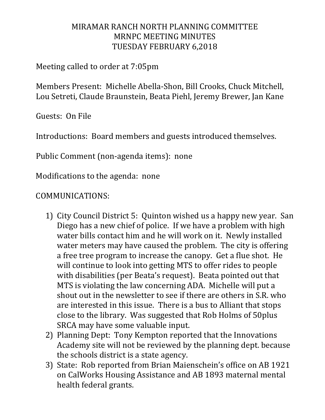## MIRAMAR RANCH NORTH PLANNING COMMITTEE MRNPC MEETING MINUTES TUESDAY FEBRUARY 6,2018

Meeting called to order at 7:05pm

Members Present: Michelle Abella-Shon, Bill Crooks, Chuck Mitchell, Lou Setreti, Claude Braunstein, Beata Piehl, Jeremy Brewer, Jan Kane

Guests: On File

Introductions: Board members and guests introduced themselves.

Public Comment (non-agenda items): none

Modifications to the agenda: none

## COMMUNICATIONS:

- 1) City Council District 5: Quinton wished us a happy new year. San Diego has a new chief of police. If we have a problem with high water bills contact him and he will work on it. Newly installed water meters may have caused the problem. The city is offering a free tree program to increase the canopy. Get a flue shot. He will continue to look into getting MTS to offer rides to people with disabilities (per Beata's request). Beata pointed out that MTS is violating the law concerning ADA. Michelle will put a shout out in the newsletter to see if there are others in S.R. who are interested in this issue. There is a bus to Alliant that stops close to the library. Was suggested that Rob Holms of 50plus SRCA may have some valuable input.
- 2) Planning Dept: Tony Kempton reported that the Innovations Academy site will not be reviewed by the planning dept. because the schools district is a state agency.
- 3) State: Rob reported from Brian Maienschein's office on AB 1921 on CalWorks Housing Assistance and AB 1893 maternal mental health federal grants.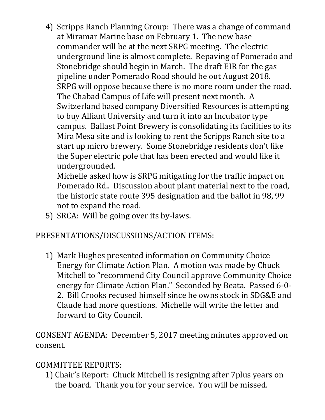4) Scripps Ranch Planning Group: There was a change of command at Miramar Marine base on February 1. The new base commander will be at the next SRPG meeting. The electric underground line is almost complete. Repaving of Pomerado and Stonebridge should begin in March. The draft EIR for the gas pipeline under Pomerado Road should be out August 2018. SRPG will oppose because there is no more room under the road. The Chabad Campus of Life will present next month. A Switzerland based company Diversified Resources is attempting to buy Alliant University and turn it into an Incubator type campus. Ballast Point Brewery is consolidating its facilities to its Mira Mesa site and is looking to rent the Scripps Ranch site to a start up micro brewery. Some Stonebridge residents don't like the Super electric pole that has been erected and would like it undergrounded.

Michelle asked how is SRPG mitigating for the traffic impact on Pomerado Rd.. Discussion about plant material next to the road, the historic state route 395 designation and the ballot in 98, 99 not to expand the road.

5) SRCA: Will be going over its by-laws.

## PRESENTATIONS/DISCUSSIONS/ACTION ITEMS:

1) Mark Hughes presented information on Community Choice Energy for Climate Action Plan. A motion was made by Chuck Mitchell to "recommend City Council approve Community Choice energy for Climate Action Plan." Seconded by Beata. Passed 6-0- 2. Bill Crooks recused himself since he owns stock in SDG&E and Claude had more questions. Michelle will write the letter and forward to City Council.

CONSENT AGENDA: December 5, 2017 meeting minutes approved on consent.

## COMMITTEE REPORTS:

1) Chair's Report: Chuck Mitchell is resigning after 7plus years on the board. Thank you for your service. You will be missed.